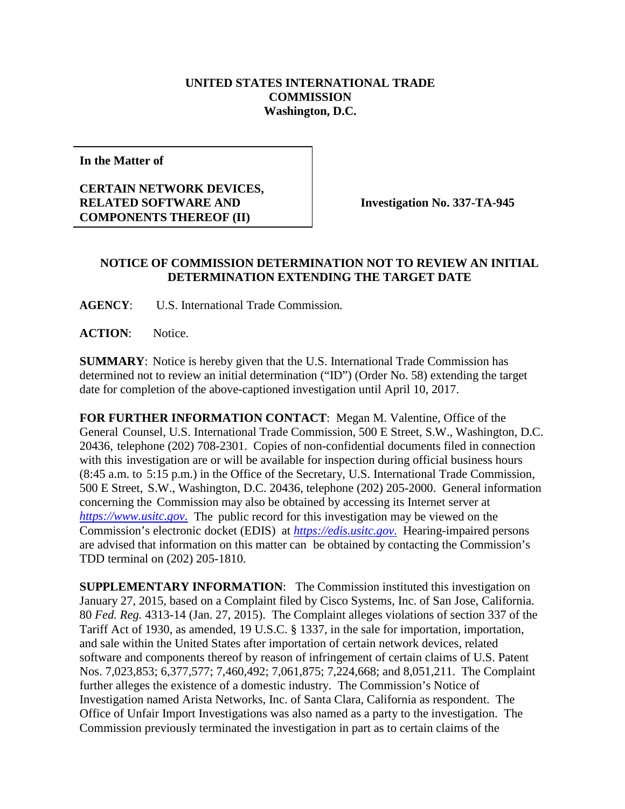## **UNITED STATES INTERNATIONAL TRADE COMMISSION Washington, D.C.**

**In the Matter of**

## **CERTAIN NETWORK DEVICES, RELATED SOFTWARE AND COMPONENTS THEREOF (II)**

**Investigation No. 337-TA-945**

## **NOTICE OF COMMISSION DETERMINATION NOT TO REVIEW AN INITIAL DETERMINATION EXTENDING THE TARGET DATE**

**AGENCY**: U.S. International Trade Commission.

**ACTION**: Notice.

**SUMMARY**: Notice is hereby given that the U.S. International Trade Commission has determined not to review an initial determination ("ID") (Order No. 58) extending the target date for completion of the above-captioned investigation until April 10, 2017.

**FOR FURTHER INFORMATION CONTACT**: Megan M. Valentine, Office of the General Counsel, U.S. International Trade Commission, 500 E Street, S.W., Washington, D.C. 20436, telephone (202) 708-2301. Copies of non-confidential documents filed in connection with this investigation are or will be available for inspection during official business hours (8:45 a.m. to 5:15 p.m.) in the Office of the Secretary, U.S. International Trade Commission, 500 E Street, S.W., Washington, D.C. 20436, telephone (202) 205-2000. General information concerning the Commission may also be obtained by accessing its Internet server at *[https://www.usitc.gov](https://www.usitc.gov./)*. The public record for this investigation may be viewed on the Commission's electronic docket (EDIS) at *[https://edis.usitc.gov](https://edis.usitc.gov./)*. Hearing-impaired persons are advised that information on this matter can be obtained by contacting the Commission's TDD terminal on (202) 205-1810.

**SUPPLEMENTARY INFORMATION:** The Commission instituted this investigation on January 27, 2015, based on a Complaint filed by Cisco Systems, Inc. of San Jose, California. 80 *Fed. Reg.* 4313-14 (Jan. 27, 2015). The Complaint alleges violations of section 337 of the Tariff Act of 1930, as amended, 19 U.S.C. § 1337, in the sale for importation, importation, and sale within the United States after importation of certain network devices, related software and components thereof by reason of infringement of certain claims of U.S. Patent Nos. 7,023,853; 6,377,577; 7,460,492; 7,061,875; 7,224,668; and 8,051,211. The Complaint further alleges the existence of a domestic industry. The Commission's Notice of Investigation named Arista Networks, Inc. of Santa Clara, California as respondent. The Office of Unfair Import Investigations was also named as a party to the investigation. The Commission previously terminated the investigation in part as to certain claims of the